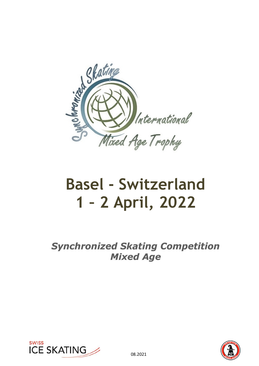

# **Basel - Switzerland 1 – 2 April, 2022**

**Synchronized Skating Competition Mixed Age** 



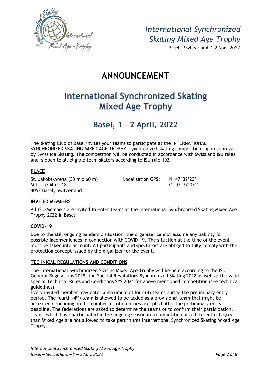

Basel – Switzerland, 1-2 April 2022

# **ANNOUNCEMENT**

# **International Synchronized Skating Mixed Age Trophy**

# **Basel, 1 – 2 April, 2022**

The skating Club of Basel invites your teams to participate at the INTERNATIONAL SYNCHRONIZED SKATING MIXED AGE TROPHY, synchronized skating competition, upon approval by Swiss Ice Skating. The competition will be conducted in accordance with Swiss and ISU rules and is open to all eligible team skaters according to ISU rule 102.

### **PLACE**

Mittlere Allee 18 O 07°37'03'' 4052 Basel, Switzerland

St. Jakobs-Arena (30 m x 60 m) Localisation GPS: N 47°32'23''

### **INVITED MEMBERS**

All ISU-Members are invited to enter teams at the International Synchronized Skating Mixed Age Trophy 2022 in Basel.

### **COVID-19**

Due to the still ongoing pandemic situation, the organizer cannot assume any liability for possible inconveniences in connection with COVID-19. The situation at the time of the event must be taken into account. All participants and spectators are obliged to fully comply with the protection concept issued by the organizer for the event.

#### **TECHNICAL REGULATIONS AND CONDITIONS**

The International Synchronized Skating Mixed Age Trophy will be held according to the ISU General Regulations 2018, the Special Regulations Synchronized Skating 2018 as well as the valid special Technical Rules and Conditions SYS 2021 for above mentioned competition (see technical guidelines).

Every invited member may enter a maximum of four (4) teams during the preliminary entry period. The fourth (4<sup>th</sup>) team is allowed to be added as a provisional team that might be accepted depending on the number of total entries accepted after the preliminary entry deadline. The federations are asked to determine the teams or to confirm their participation. Teams which have participated in the ongoing season in a competition of a different category than Mixed Age are not allowed to take part in this International Synchronized Skating Mixed Age Trophy.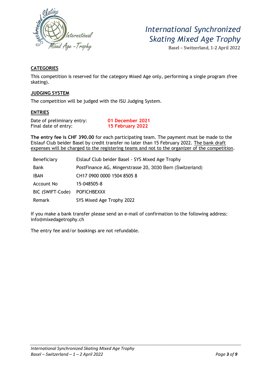

Basel – Switzerland, 1-2 April 2022

# **CATEGORIES**

This competition is reserved for the category Mixed Age only, performing a single program (free skating).

### **JUDGING SYSTEM**

The competition will be judged with the ISU Judging System.

### **ENTRIES**

Date of preliminary entry: **01 December 2021**  Final date of entry: **15 February 2022** 

**The entry fee is CHF 390.00** for each participating team. The payment must be made to the Eislauf Club beider Basel by credit transfer no later than 15 February 2022. The bank draft expenses will be charged to the registering teams and not to the organizer of the competition.

| Beneficiary       | Eislauf Club beider Basel - SYS Mixed Age Trophy          |  |
|-------------------|-----------------------------------------------------------|--|
| <b>Bank</b>       | PostFinance AG, Mingerstrasse 20, 3030 Bern (Switzerland) |  |
| <b>IBAN</b>       | CH17 0900 0000 1504 8505 8                                |  |
| <b>Account No</b> | 15-048505-8                                               |  |
| BIC (SWIFT-Code)  | <b>POFICHBEXXX</b>                                        |  |
| Remark            | SYS Mixed Age Trophy 2022                                 |  |

If you make a bank transfer please send an e-mail of confirmation to the following address: info@mixedagetrophy.ch

The entry fee and/or bookings are not refundable.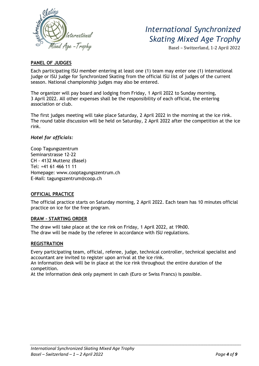

Basel – Switzerland, 1-2 April 2022

### **PANEL OF JUDGES**

Each participating ISU member entering at least one (1) team may enter one (1) international judge or ISU judge for Synchronized Skating from the official ISU list of judges of the current season. National championship judges may also be entered.

The organizer will pay board and lodging from Friday, 1 April 2022 to Sunday morning, 3 April 2022. All other expenses shall be the responsibility of each official, the entering association or club.

The first judges meeting will take place Saturday, 2 April 2022 in the morning at the ice rink. The round table discussion will be held on Saturday, 2 April 2022 after the competition at the ice rink.

#### *Hotel for officials:*

Coop Tagungszentrum Seminarstrasse 12-22 CH - 4132 Muttenz (Basel) Tel: +41 61 466 11 11 Homepage: www.cooptagungszentrum.ch E-Mail: tagungszentrum@coop.ch

#### **OFFICIAL PRACTICE**

The official practice starts on Saturday morning, 2 April 2022. Each team has 10 minutes official practice on ice for the free program.

#### **DRAW – STARTING ORDER**

The draw will take place at the ice rink on Friday, 1 April 2022, at 19h00. The draw will be made by the referee in accordance with ISU regulations.

#### **REGISTRATION**

Every participating team, official, referee, judge, technical controller, technical specialist and accountant are invited to register upon arrival at the ice rink.

An information desk will be in place at the ice rink throughout the entire duration of the competition.

At the information desk only payment in cash (Euro or Swiss Francs) is possible.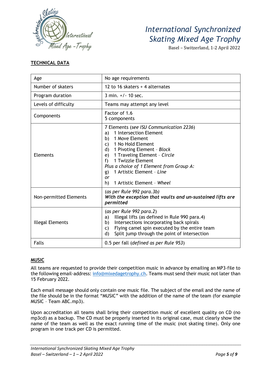

Basel – Switzerland, 1-2 April 2022

# **TECHNICAL DATA**

| Age                    | No age requirements                                                                                                                                                                                                                                                                                                                                     |  |
|------------------------|---------------------------------------------------------------------------------------------------------------------------------------------------------------------------------------------------------------------------------------------------------------------------------------------------------------------------------------------------------|--|
| Number of skaters      | 12 to 16 skaters + 4 alternates                                                                                                                                                                                                                                                                                                                         |  |
| Program duration       | 3 min. $+/- 10$ sec.                                                                                                                                                                                                                                                                                                                                    |  |
| Levels of difficulty   | Teams may attempt any level                                                                                                                                                                                                                                                                                                                             |  |
| Components             | Factor of 1.6<br>5 components                                                                                                                                                                                                                                                                                                                           |  |
| <b>Elements</b>        | 7 Elements (see ISU Communication 2236)<br>1 Intersection Element<br>a)<br>1 Move Element<br>b)<br>1 No Hold Element<br>C)<br>1 Pivoting Element - Block<br>d)<br>1 Traveling Element - Circle<br>e)<br>1 Twizzle Element<br>f<br>Plus a choice of 1 Element from Group A:<br>1 Artistic Element - Line<br>g)<br>or<br>1 Artistic Element - Wheel<br>h) |  |
| Non-permitted Elements | (as per Rule 992 para.3b)<br>With the exception that vaults and un-sustained lifts are<br>permitted                                                                                                                                                                                                                                                     |  |
| Illegal Elements       | (as per Rule 992 para.2)<br>Illegal lifts (as defined in Rule 990 para.4)<br>a)<br>Intersections incorporating back spirals<br>b)<br>Flying camel spin executed by the entire team<br>C)<br>Split jump through the point of intersection<br>d)                                                                                                          |  |
| <b>Falls</b>           | 0.5 per fall (defined as per Rule 953)                                                                                                                                                                                                                                                                                                                  |  |

# **MUSIC**

All teams are requested to provide their competition music in advance by emailing an MP3-file to the following email-address: info@mixedagetrophy.ch. Teams must send their music not later than 15 February 2022.

Each email message should only contain one music file. The subject of the email and the name of the file should be in the format "MUSIC" with the addition of the name of the team (for example MUSIC – Team ABC.mp3).

Upon accreditation all teams shall bring their competition music of excellent quality on CD (no mp3cd) as a backup. The CD must be properly inserted in its original case, must clearly show the name of the team as well as the exact running time of the music (not skating time). Only one program in one track per CD is permitted.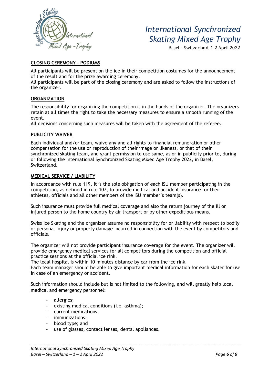

Basel – Switzerland, 1-2 April 2022

### **CLOSING CEREMONY – PODIUMS**

All participants will be present on the ice in their competition costumes for the announcement of the result and for the prize awarding ceremony.

All participants will be part of the closing ceremony and are asked to follow the instructions of the organizer.

### **ORGANIZATION**

The responsibility for organizing the competition is in the hands of the organizer. The organizers retain at all times the right to take the necessary measures to ensure a smooth running of the event.

All decisions concerning such measures will be taken with the agreement of the referee.

### **PUBLICITY WAIVER**

Each individual and/or team, waive any and all rights to financial remuneration or other compensation for the use or reproduction of their image or likeness, or that of their synchronized skating team, and grant permission to use same, as or in publicity prior to, during or following the International Synchronized Skating Mixed Age Trophy 2022, in Basel, Switzerland.

### **MEDICAL SERVICE / LIABILITY**

In accordance with rule 119, it is the sole obligation of each ISU member participating in the competition, as defined in rule 107, to provide medical and accident insurance for their athletes, officials and all other members of the ISU member's team(s).

Such insurance must provide full medical coverage and also the return journey of the ill or injured person to the home country by air transport or by other expeditious means.

Swiss Ice Skating and the organizer assume no responsibility for or liability with respect to bodily or personal injury or property damage incurred in connection with the event by competitors and officials.

The organizer will not provide participant insurance coverage for the event. The organizer will provide emergency medical services for all competitors during the competition and official practice sessions at the official ice rink.

The local hospital is within 10 minutes distance by car from the ice rink.

Each team manager should be able to give important medical information for each skater for use in case of an emergency or accident.

Such information should include but is not limited to the following, and will greatly help local medical and emergency personnel:

- allergies;
- existing medical conditions (i.e. asthma);
- current medications;
- immunizations;
- blood type; and
- use of glasses, contact lenses, dental appliances.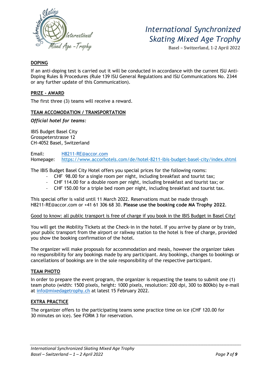

Basel – Switzerland, 1-2 April 2022

### **DOPING**

If an anti-doping test is carried out it will be conducted in accordance with the current ISU Anti-Doping Rules & Procedures (Rule 139 ISU General Regulations and ISU Communications No. 2344 or any further update of this Communication).

### **PRIZE - AWARD**

The first three (3) teams will receive a reward.

### **TEAM ACCOMODATION / TRANSPORTATION**

*Official hotel for teams:* 

IBIS Budget Basel City Grosspeterstrasse 12 CH-4052 Basel, Switzerland

Email: H8211-RE@accor.com Homepage: https://www.accorhotels.com/de/hotel-8211-ibis-budget-basel-city/index.shtml

The IBIS Budget Basel City Hotel offers you special prices for the following rooms:

- CHF 98.00 for a single room per night, including breakfast and tourist tax;
- CHF 114.00 for a double room per night, including breakfast and tourist tax; or
- CHF 150.00 for a triple bed room per night, including breakfast and tourist tax.

This special offer is valid until 11 March 2022. Reservations must be made through H8211-RE@accor.com or +41 61 306 68 30. **Please use the booking code MA Trophy 2022**.

#### Good to know: all public transport is free of charge if you book in the IBIS Budget in Basel City!

You will get the Mobility Tickets at the Check-in in the hotel. If you arrive by plane or by train, your public transport from the airport or railway station to the hotel is free of charge, provided you show the booking confirmation of the hotel.

The organizer will make proposals for accommodation and meals, however the organizer takes no responsibility for any bookings made by any participant. Any bookings, changes to bookings or cancellations of bookings are in the sole responsibility of the respective participant.

### **TEAM PHOTO**

In order to prepare the event program, the organizer is requesting the teams to submit one (1) team photo (width: 1500 pixels, height: 1000 pixels, resolution: 200 dpi, 300 to 800kb) by e-mail at info@mixedagetrophy.ch at latest 15 February 2022.

### **EXTRA PRACTICE**

The organizer offers to the participating teams some practice time on ice (CHF 120.00 for 30 minutes on ice). See FORM 3 for reservation.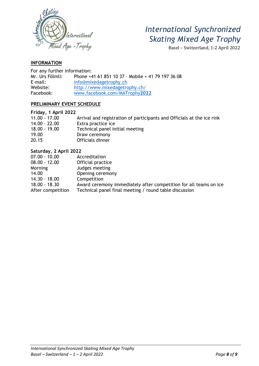

Basel – Switzerland, 1-2 April 2022

### **INFORMATION**

| For any further information: |                                                   |  |  |  |
|------------------------------|---------------------------------------------------|--|--|--|
| Mr. Urs Fölmli:              | Phone +41 61 851 10 37 - Mobile + 41 79 197 36 08 |  |  |  |
| $E$ -mail:                   | info@mixedagetrophy.ch                            |  |  |  |
| Website:                     | http://www.mixedagetrophy.ch/                     |  |  |  |
| Facebook:                    | www.facebook.com/MATrophy2022                     |  |  |  |

### **PRELIMINARY EVENT SCHEDULE**

| Friday, 1 April 2022 |                                                                        |
|----------------------|------------------------------------------------------------------------|
| $11.00 - 17.00$      | Arrival and registration of participants and Officials at the ice rink |
| $14.00 - 22.00$      | Extra practice ice                                                     |
| $18.00 - 19.00$      | Technical panel initial meeting                                        |
| 19.00                | Draw ceremony                                                          |
| 20.15                | Officials dinner                                                       |

### **Saturday, 2 April 2022 Accreditation** 08.00 - 12.00 Official practice Morning Judges meeting 14.00 Opening ceremony<br>14.30 - 18.00 Competition  $14.30 - 18.00$ 18.00 - 18.30 Award ceremony immediately after competition for all teams on ice After competition Technical panel final meeting / round table discussion